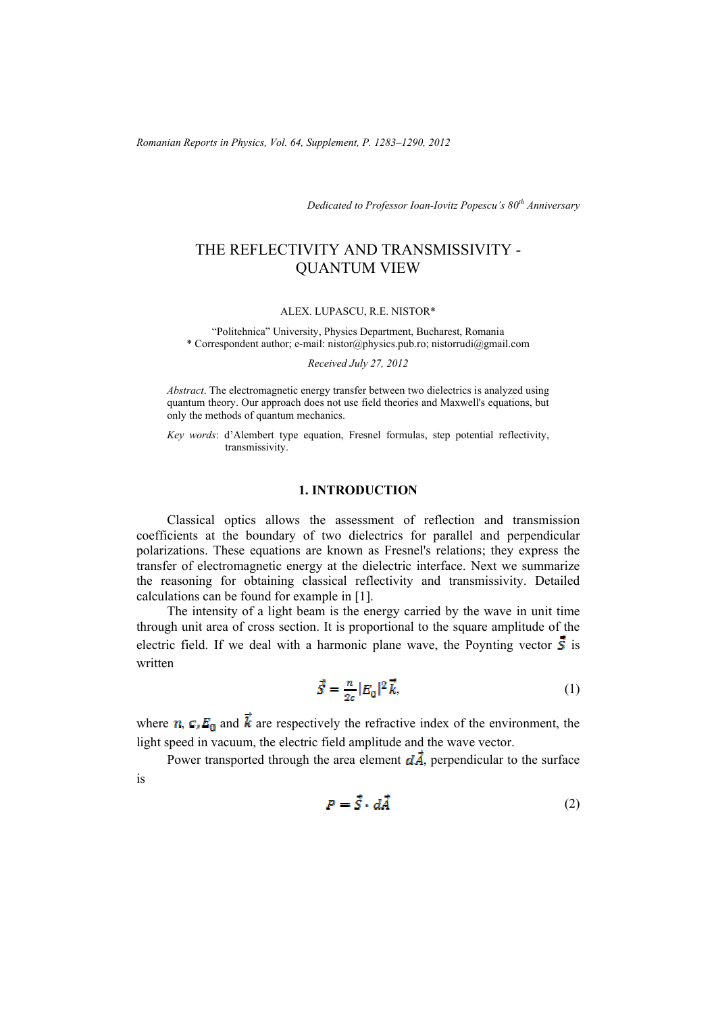*Romanian Reports in Physics, Vol. 64, Supplement, P. 1283–1290, 2012*

*Dedicated to Professor Ioan-Iovitz Popescu's 80th Anniversary*

# THE REFLECTIVITY AND TRANSMISSIVITY - QUANTUM VIEW

#### ALEX. LUPASCU, R.E. NISTOR\*

"Politehnica" University, Physics Department, Bucharest, Romania \* Correspondent author; e-mail: nistor@physics.pub.ro; nistorrudi@gmail.com

*Received July 27, 2012*

*Abstract*. The electromagnetic energy transfer between two dielectrics is analyzed using quantum theory. Our approach does not use field theories and Maxwell's equations, but only the methods of quantum mechanics.

*Key words*: d'Alembert type equation, Fresnel formulas, step potential reflectivity, transmissivity.

### **1. INTRODUCTION**

Classical optics allows the assessment of reflection and transmission coefficients at the boundary of two dielectrics for parallel and perpendicular polarizations. These equations are known as Fresnel's relations; they express the transfer of electromagnetic energy at the dielectric interface. Next we summarize the reasoning for obtaining classical reflectivity and transmissivity. Detailed calculations can be found for example in [1].

The intensity of a light beam is the energy carried by the wave in unit time through unit area of cross section. It is proportional to the square amplitude of the electric field. If we deal with a harmonic plane wave, the Poynting vector  $\vec{s}$  is written

$$
\vec{S} = \frac{n}{2\sigma} |E_0|^2 \vec{k},\tag{1}
$$

where  $\eta$ ,  $C_1 E_0$  and  $\vec{k}$  are respectively the refractive index of the environment, the light speed in vacuum, the electric field amplitude and the wave vector.

Power transported through the area element  $d\vec{A}$ , perpendicular to the surface is

$$
P = \vec{S} \cdot d\vec{A} \tag{2}
$$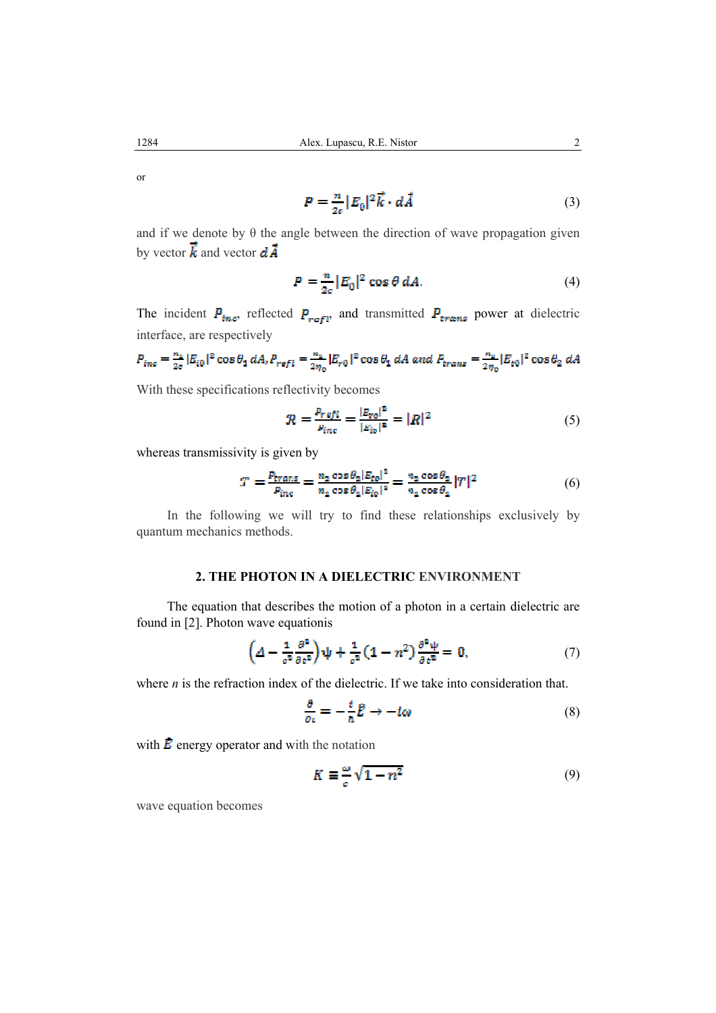or

$$
P = \frac{n}{2\varepsilon} |E_0|^2 \vec{k} \cdot d\vec{A} \tag{3}
$$

and if we denote by  $\theta$  the angle between the direction of wave propagation given by vector  $\vec{k}$  and vector  $d\vec{A}$ 

$$
P = \frac{n}{2\sigma} |E_0|^2 \cos \theta \, dA. \tag{4}
$$

The incident  $P_{\text{true}}$ , reflected  $P_{\text{refl}}$ , and transmitted  $P_{\text{trans}}$  power at dielectric interface, are respectively

$$
P_{inc} = \frac{n_1}{2\sigma} |E_{t0}|^2 \cos \theta_1 dA, P_{ref1} = \frac{n_1}{2\eta_0} |E_{r0}|^2 \cos \theta_1 dA \text{ and } P_{trans} = \frac{n_2}{2\eta_0} |E_{t0}|^2 \cos \theta_2 dA
$$

With these specifications reflectivity becomes

$$
R = \frac{P_{refl}}{P_{inc}} = \frac{|E_{rel}|^2}{|E_{lo}|^2} = |R|^2
$$
 (5)

whereas transmissivity is given by

$$
T = \frac{P_{\text{trans}}}{P_{\text{inc}}} = \frac{n_2 \cos \theta_2 |E_{\text{to}}|^2}{n_1 \cos \theta_1 |E_{\text{to}}|^2} = \frac{n_2 \cos \theta_2}{n_1 \cos \theta_2} |T|^2 \tag{6}
$$

In the following we will try to find these relationships exclusively by quantum mechanics methods.

## **2. THE PHOTON IN A DIELECTRIC ENVIRONMENT**

The equation that describes the motion of a photon in a certain dielectric are found in [2]. Photon wave equationis

$$
\left(\Delta - \frac{1}{c^2} \frac{\partial^2}{\partial t^2}\right) \psi + \frac{1}{c^2} \left(1 - n^2\right) \frac{\partial^2 \psi}{\partial t^2} = 0, \tag{7}
$$

where *n* is the refraction index of the dielectric. If we take into consideration that.

$$
\frac{\partial}{\partial \epsilon} = -\frac{i}{\hbar} \hat{E} \to -i\omega \tag{8}
$$

with  $\vec{E}$  energy operator and with the notation

$$
K \equiv \frac{\omega}{c} \sqrt{1 - n^2} \tag{9}
$$

wave equation becomes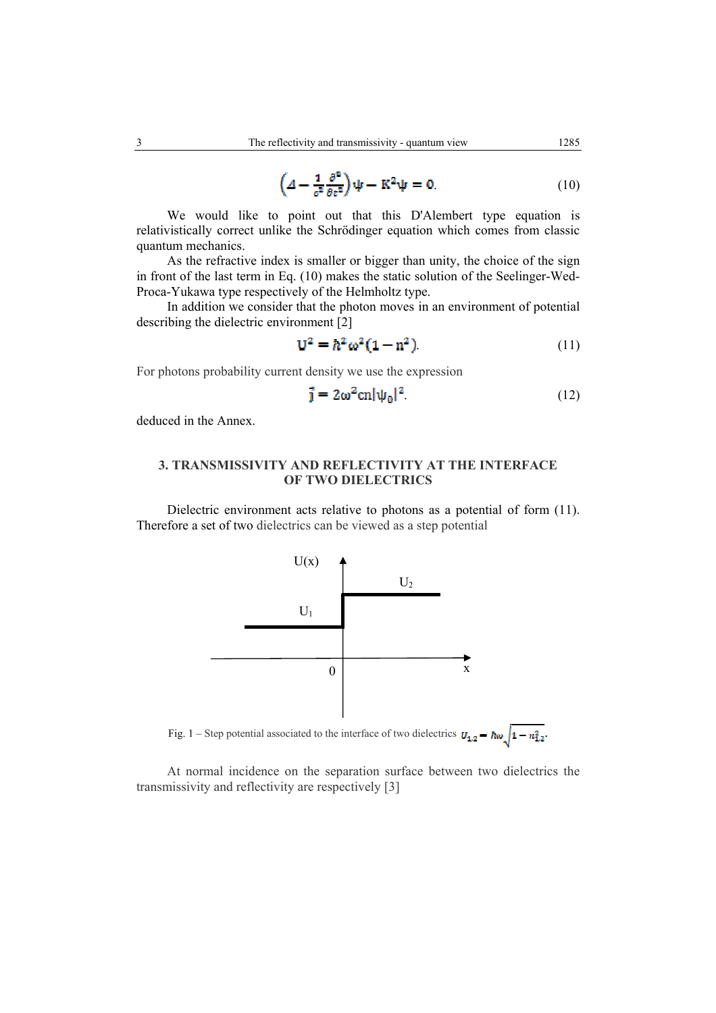$$
\left(\Delta - \frac{1}{c^2} \frac{\partial^2}{\partial c^2}\right) \psi - K^2 \psi = 0.
$$
 (10)

We would like to point out that this D'Alembert type equation is relativistically correct unlike the Schrödinger equation which comes from classic quantum mechanics.

As the refractive index is smaller or bigger than unity, the choice of the sign in front of the last term in Eq. (10) makes the static solution of the Seelinger-Wed-Proca-Yukawa type respectively of the Helmholtz type.

In addition we consider that the photon moves in an environment of potential describing the dielectric environment [2]

$$
\mathbf{U}^2 = \hbar^2 \omega^2 (1 - n^2). \tag{11}
$$

For photons probability current density we use the expression

$$
\vec{j} = 2\omega^2 \text{cn} |\psi_0|^2. \tag{12}
$$

deduced in the Annex.

### **3. TRANSMISSIVITY AND REFLECTIVITY AT THE INTERFACE OF TWO DIELECTRICS**

Dielectric environment acts relative to photons as a potential of form (11). Therefore a set of two dielectrics can be viewed as a step potential



At normal incidence on the separation surface between two dielectrics the transmissivity and reflectivity are respectively [3]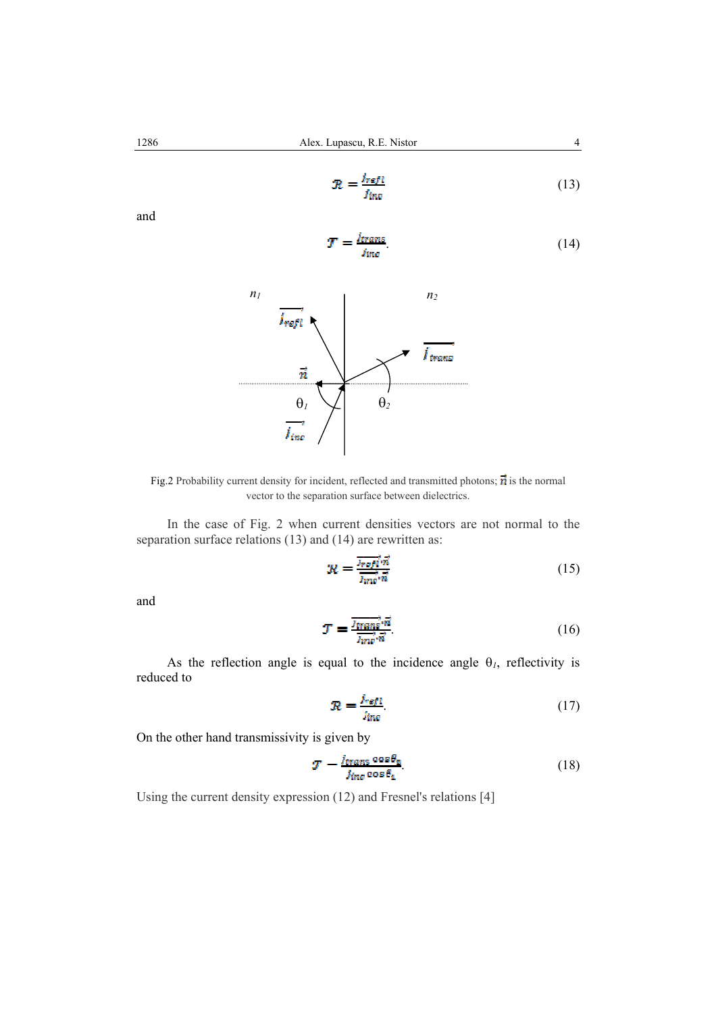$$
R = \frac{i_{refl}}{i_{inc}} \tag{13}
$$

and

$$
T = \frac{j_{trans}}{j_{inc}}.\tag{14}
$$



Fig.2 Probability current density for incident, reflected and transmitted photons;  $\vec{n}$  is the normal vector to the separation surface between dielectrics.

In the case of Fig. 2 when current densities vectors are not normal to the separation surface relations (13) and (14) are rewritten as:

$$
\mathcal{R} = \frac{\overrightarrow{Jref\cdot n}}{\overrightarrow{Imv\cdot n}}\tag{15}
$$

and

$$
\mathcal{T} = \frac{\overline{I_{\text{trans}}^i \cdot \vec{n}}}{\overline{I_{\text{rms}}^i \cdot \vec{n}}}.\tag{16}
$$

As the reflection angle is equal to the incidence angle  $\theta_l$ , reflectivity is reduced to

$$
\mathcal{R} = \frac{j_{refl}}{j_{inc}}.\tag{17}
$$

On the other hand transmissivity is given by

$$
T = \frac{i_{trans} \cos \theta_2}{j_{inc} \cos \theta_4}.
$$
 (18)

Using the current density expression (12) and Fresnel's relations [4]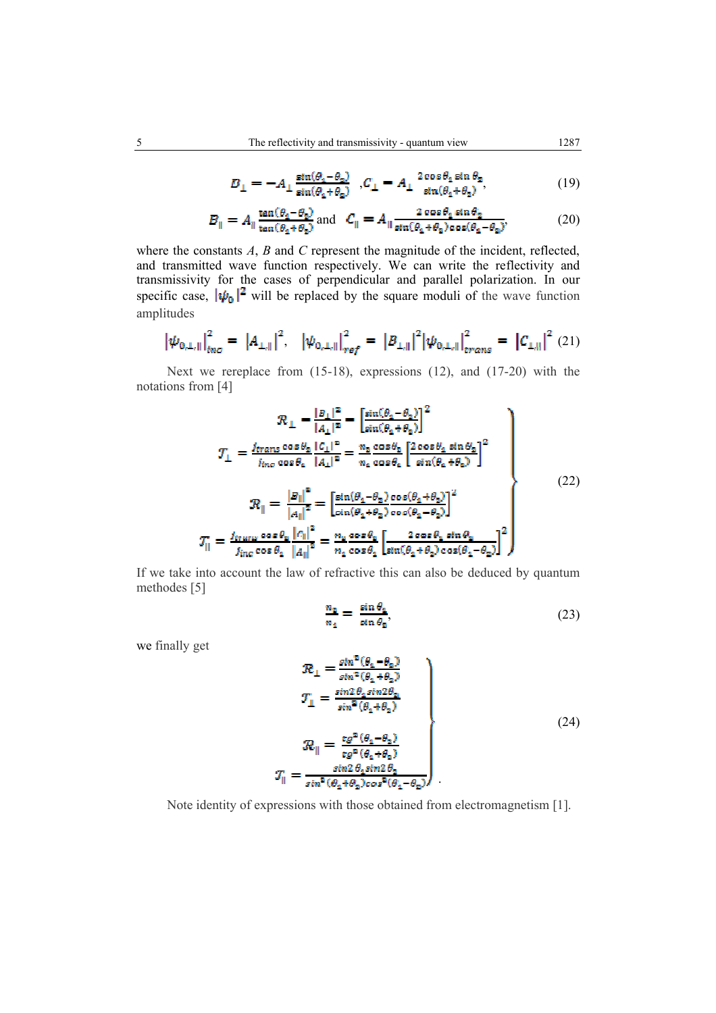$$
B_{\perp} = -A_{\perp} \frac{\sin(\theta_1 - \theta_2)}{\sin(\theta_1 + \theta_2)} , C_{\perp} = A_{\perp} \frac{2 \cos \theta_1 \sin \theta_2}{\sin(\theta_1 + \theta_2)}, \tag{19}
$$

$$
B_{\parallel} = A_{\parallel} \frac{\tan(\theta_4 - \theta_2)}{\tan(\theta_4 + \theta_2)} \text{ and } C_{\parallel} = A_{\parallel} \frac{2 \cos \theta_1 \sin \theta_2}{\sin(\theta_4 + \theta_2) \cos(\theta_4 - \theta_2)}.
$$
 (20)

where the constants *A*, *B* and *C* represent the magnitude of the incident, reflected, and transmitted wave function respectively. We can write the reflectivity and transmissivity for the cases of perpendicular and parallel polarization. In our specific case,  $|\psi_0|^2$  will be replaced by the square moduli of the wave function amplitudes

$$
\left|\psi_{0,\perp,\parallel}\right|_{inc}^{2} = \left|A_{\perp,\parallel}\right|^{2}, \quad \left|\psi_{0,\perp,\parallel}\right|_{ref}^{2} = \left|B_{\perp,\parallel}\right|^{2} \left|\psi_{0,\perp,\parallel}\right|_{trans}^{2} = \left|C_{\perp,\parallel}\right|^{2} (21)
$$

Next we rereplace from (15-18), expressions (12), and (17-20) with the notations from [4]

$$
\mathcal{R}_{\perp} = \frac{|B_{\perp}|^2}{|A_{\perp}|^2} = \left[\frac{\sin(\theta_1 - \theta_2)}{\sin(\theta_1 + \theta_2)}\right]^2
$$
\n
$$
\mathcal{T}_{\perp} = \frac{j_{trans}\cos\theta_2 |C_{\perp}|^2}{i_{inc}\cos\theta_2 |A_{\perp}|^2} = \frac{n_2 \cos\theta_2}{n_2 \cos\theta_2} \left[\frac{2\cos\theta_1 \sin\theta_2}{\sin(\theta_2 + \theta_2)}\right]^2
$$
\n
$$
\mathcal{R}_{\parallel} = \frac{|B_{\parallel}|^2}{|A_{\parallel}|^2} = \left[\frac{\sin(\theta_1 - \theta_2) \cos(\theta_1 + \theta_2)}{\sin(\theta_2 + \theta_2) \cos(\theta_2 - \theta_2)}\right]^2
$$
\n
$$
\mathcal{T}_{\parallel} = \frac{j_{trans}\cos\theta_2 |C_{\parallel}|^2}{j_{inc}\cos\theta_2 |A_{\parallel}|^2} = \frac{n_2 \cos\theta_2}{n_2 \cos\theta_2} \left[\frac{2\cos\theta_1 \sin\theta_2}{\sin(\theta_2 + \theta_2) \cos(\theta_1 - \theta_2)}\right]^2
$$
\n(22)

If we take into account the law of refractive this can also be deduced by quantum methodes [5]

$$
\frac{n_2}{n_1} = \frac{\sin \theta_1}{\sin \theta_2},\tag{23}
$$

we finally get

$$
\mathcal{R}_{\perp} = \frac{\sin^2(\theta_1 - \theta_2)}{\sin^2(\theta_1 + \theta_2)}
$$
\n
$$
\mathcal{T}_{\perp} = \frac{\sin 2\theta_1 \sin 2\theta_2}{\sin^2(\theta_1 + \theta_2)}
$$
\n
$$
\mathcal{R}_{\parallel} = \frac{\tan^2(\theta_1 - \theta_2)}{\tan^2(\theta_1 + \theta_2)}
$$
\n
$$
\mathcal{T}_{\parallel} = \frac{\sin 2\theta_1 \sin 2\theta_2}{\sin^2(\theta_1 + \theta_2)\cos^2(\theta_1 - \theta_2)}
$$
\n(24)

Note identity of expressions with those obtained from electromagnetism [1].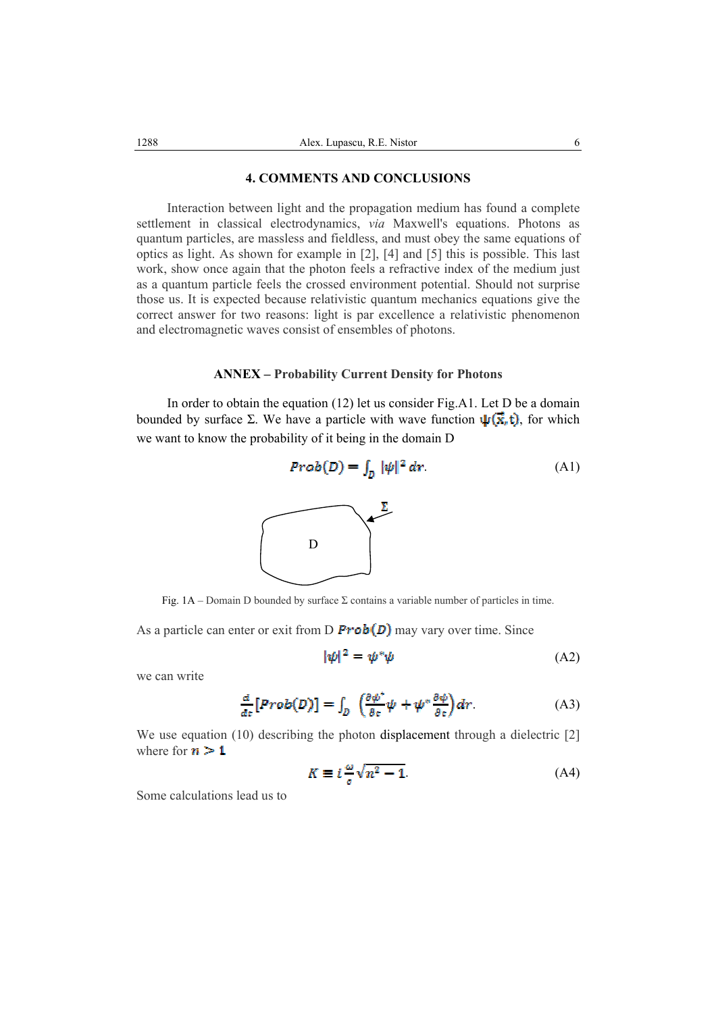#### **4. COMMENTS AND CONCLUSIONS**

Interaction between light and the propagation medium has found a complete settlement in classical electrodynamics, *via* Maxwell's equations. Photons as quantum particles, are massless and fieldless, and must obey the same equations of optics as light. As shown for example in [2], [4] and [5] this is possible. This last work, show once again that the photon feels a refractive index of the medium just as a quantum particle feels the crossed environment potential. Should not surprise those us. It is expected because relativistic quantum mechanics equations give the correct answer for two reasons: light is par excellence a relativistic phenomenon and electromagnetic waves consist of ensembles of photons.

#### **ANNEX – Probability Current Density for Photons**

In order to obtain the equation (12) let us consider Fig.A1. Let D be a domain bounded by surface Σ. We have a particle with wave function  $\psi(\vec{x}, t)$ , for which we want to know the probability of it being in the domain D



Fig. 1A – Domain D bounded by surface  $\Sigma$  contains a variable number of particles in time.

As a particle can enter or exit from D  $\text{Prob}(D)$  may vary over time. Since

$$
|\psi|^2 = \psi^* \psi \tag{A2}
$$

we can write

$$
\frac{d}{dt}\left[Prob(D)\right] = \int_{D} \left(\frac{\partial \psi^*}{\partial t}\psi + \psi^* \frac{\partial \psi}{\partial t}\right) dr.
$$
 (A3)

We use equation (10) describing the photon displacement through a dielectric [2] where for  $n > 1$ 

$$
K \equiv i \frac{\omega}{\sigma} \sqrt{n^2 - 1}.
$$
 (A4)

Some calculations lead us to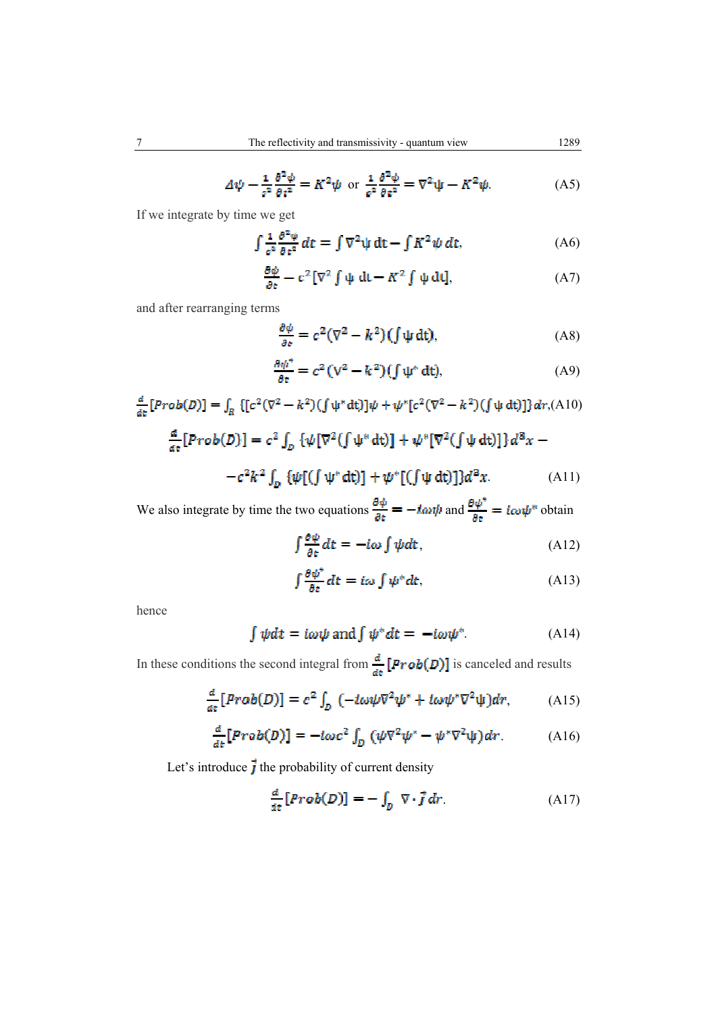$$
\Delta \psi - \frac{1}{\sigma^2} \frac{\partial^2 \psi}{\partial t^2} = K^2 \psi \text{ or } \frac{1}{\sigma^2} \frac{\partial^2 \psi}{\partial t^2} = \nabla^2 \psi - K^2 \psi. \tag{A5}
$$

If we integrate by time we get

$$
\int \frac{1}{c^2} \frac{\partial^2 \psi}{\partial t^2} dt = \int \nabla^2 \psi dt - \int K^2 \psi dt, \tag{A6}
$$

$$
\frac{\partial \psi}{\partial t} - c^2 \left[ \nabla^2 \int \psi \, \mathrm{d}t - K^2 \int \psi \, \mathrm{d}t \right],\tag{A7}
$$

and after rearranging terms

$$
\frac{\partial \psi}{\partial \varepsilon} = c^2 (\nabla^2 - k^2) (\int \psi \, dt), \tag{A8}
$$

$$
\frac{\partial \psi^*}{\partial t} = c^2 (V^2 - k^2) (\int \psi^* dt), \tag{A9}
$$

$$
\frac{d}{dt}[Prob(D)] = \int_{R} \{ [c^{2}(\nabla^{2} - k^{2})(\int \psi^{*} dt)] \psi + \psi^{*}[c^{2}(\nabla^{2} - k^{2})(\int \psi dt)] \} dr,(A10)
$$

$$
\frac{d}{dt}[Prob(D)] = c^{2} \int_{D} \{ \psi[\nabla^{2}(\int \psi^{*} dt)] + \psi^{*}[\nabla^{2}(\int \psi dt)] \} d^{3}x - c^{2}k^{2} \int_{D} \{ \psi[(\int \psi^{*} dt)] + \psi^{*}[(\int \psi dt)] \} d^{3}x.
$$
(A11)

We also integrate by time the two equations  $\frac{\partial \psi}{\partial t} = -i\omega\psi$  and  $\frac{\partial \psi^*}{\partial t} = i\omega\psi^*$  obtain

$$
\int \frac{\partial \psi}{\partial t} dt = -i\omega \int \psi dt, \tag{A12}
$$

$$
\int \frac{\partial \psi^*}{\partial t} dt = i\omega \int \psi^* dt,
$$
 (A13)

hence

$$
\int \psi dt = i\omega\psi \text{ and } \int \psi^* dt = -i\omega\psi^*.
$$
 (A14)

In these conditions the second integral from  $\frac{d}{dt}$  [**Prob(D)**] is canceled and results

$$
\frac{d}{dt}[Prob(D)] = c^2 \int_D (-i\omega\psi \nabla^2 \psi^* + i\omega\psi^* \nabla^2 \psi) dr, \qquad (A15)
$$

$$
\frac{d}{dt} [Prob(D)] = -i\omega c^2 \int_D (\psi \nabla^2 \psi^* - \psi^* \nabla^2 \psi) dr.
$$
 (A16)

Let's introduce  $\vec{j}$  the probability of current density

$$
\frac{d}{dt}\left[Prob(D)\right] = -\int_{D} \nabla \cdot \vec{j} dr. \tag{A17}
$$